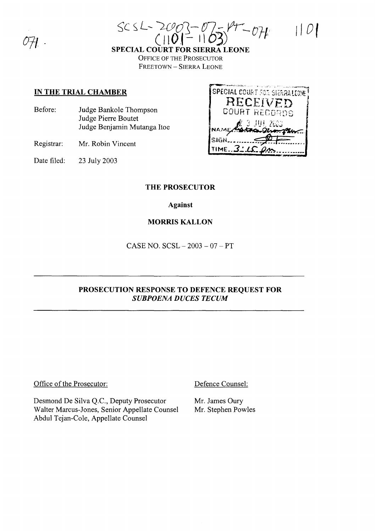| $SCSL = 2003 - 0757 - 074$ | 1 0 |
|----------------------------|-----|
|                            |     |

**SPECIAL COURT FOR SIERRA LEONE OFFICE OF THE PROSECUTOR** FREETOWN - SIERRA LEONE

### IN THE TRIAL CHAMBER

Judge Bankole Thompson Before: Judge Pierre Boutet Judge Benjamin Mutanga Itoe

Registrar: Mr. Robin Vincent

Date filed: 23 July 2003



### **THE PROSECUTOR**

**Against** 

### **MORRIS KALLON**

CASE NO.  $SCSL - 2003 - 07 - PT$ 

## PROSECUTION RESPONSE TO DEFENCE REQUEST FOR **SUBPOENA DUCES TECUM**

#### Office of the Prosecutor:

Desmond De Silva Q.C., Deputy Prosecutor Walter Marcus-Jones, Senior Appellate Counsel Abdul Tejan-Cole, Appellate Counsel

Defence Counsel:

Mr. James Oury Mr. Stephen Powles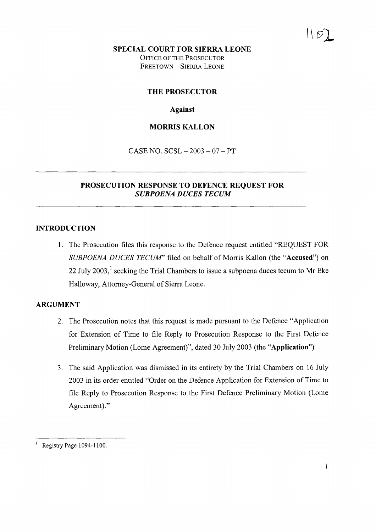#### SPECIAL COURT FOR SIERRA LEONE

OFFICE OF THE PROSECUTOR FREETOWN - SIERRA LEONE

#### THE PROSECUTOR

### Against

### MORRIS KALLON

CASE NO.  $SCSL - 2003 - 07 - PT$ 

#### PROSECUTION RESPONSE TO DEFENCE REQUEST FOR *SUBPOENA DUCES TECUM*

#### INTRODUCTION

1. The Prosecution files this response to the Defence request entitled "REQUEST FOR *SUBPOENA DUCES TECUM'* filed on behalf of Morris Kallon (the "Accused") on 22 July 2003,<sup>1</sup> seeking the Trial Chambers to issue a subpoena duces tecum to Mr Eke Halloway, Attorney-General of Sierra Leone.

#### ARGUMENT

- 2. The Prosecution notes that this request is made pursuant to the Defence "Application for Extension of Time to file Reply to Prosecution Response to the First Defence Preliminary Motion (Lome Agreement)", dated 30 July 2003 (the "Application").
- 3. The said Application was dismissed in its entirety by the Trial Chambers on 16 July 2003 in its order entitled "Order on the Defence Application for Extension of Time to file Reply to Prosecution Response to the First Defence Preliminary Motion (Lome Agreement)."

Registry Page 1094-1100.